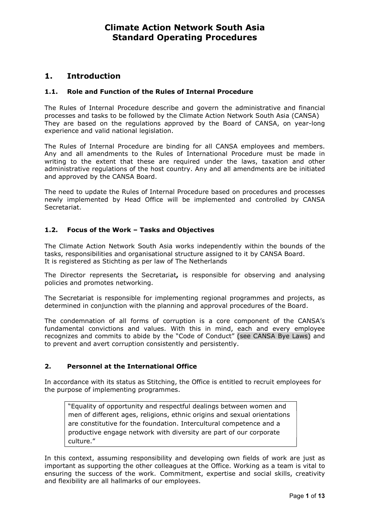## 1. Introduction

## 1.1. Role and Function of the Rules of Internal Procedure

The Rules of Internal Procedure describe and govern the administrative and financial processes and tasks to be followed by the Climate Action Network South Asia (CANSA) They are based on the regulations approved by the Board of CANSA, on year-long experience and valid national legislation.

The Rules of Internal Procedure are binding for all CANSA employees and members. Any and all amendments to the Rules of International Procedure must be made in writing to the extent that these are required under the laws, taxation and other administrative regulations of the host country. Any and all amendments are be initiated and approved by the CANSA Board.

The need to update the Rules of Internal Procedure based on procedures and processes newly implemented by Head Office will be implemented and controlled by CANSA Secretariat.

## 1.2. Focus of the Work – Tasks and Objectives

The Climate Action Network South Asia works independently within the bounds of the tasks, responsibilities and organisational structure assigned to it by CANSA Board. It is registered as Stichting as per law of The Netherlands

The Director represents the Secretariat, is responsible for observing and analysing policies and promotes networking.

The Secretariat is responsible for implementing regional programmes and projects, as determined in conjunction with the planning and approval procedures of the Board.

The condemnation of all forms of corruption is a core component of the CANSA's fundamental convictions and values. With this in mind, each and every employee recognizes and commits to abide by the "Code of Conduct" (see CANSA Bye Laws) and to prevent and avert corruption consistently and persistently.

### 2. Personnel at the International Office

In accordance with its status as Stitching, the Office is entitled to recruit employees for the purpose of implementing programmes.

"Equality of opportunity and respectful dealings between women and men of different ages, religions, ethnic origins and sexual orientations are constitutive for the foundation. Intercultural competence and a productive engage network with diversity are part of our corporate culture."

In this context, assuming responsibility and developing own fields of work are just as important as supporting the other colleagues at the Office. Working as a team is vital to ensuring the success of the work. Commitment, expertise and social skills, creativity and flexibility are all hallmarks of our employees.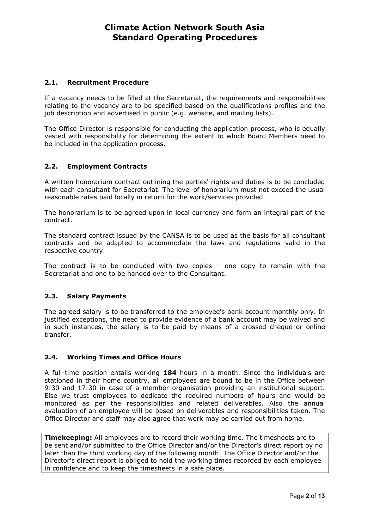## 2.1. Recruitment Procedure

If a vacancy needs to be filled at the Secretariat, the requirements and responsibilities relating to the vacancy are to be specified based on the qualifications profiles and the job description and advertised in public (e.g. website, and mailing lists).

The Office Director is responsible for conducting the application process, who is equally vested with responsibility for determining the extent to which Board Members need to be included in the application process.

## 2.2. Employment Contracts

A written honorarium contract outlining the parties' rights and duties is to be concluded with each consultant for Secretariat. The level of honorarium must not exceed the usual reasonable rates paid locally in return for the work/services provided.

The honorarium is to be agreed upon in local currency and form an integral part of the contract.

The standard contract issued by the CANSA is to be used as the basis for all consultant contracts and be adapted to accommodate the laws and regulations valid in the respective country.

The contract is to be concluded with two copies – one copy to remain with the Secretariat and one to be handed over to the Consultant.

## 2.3. Salary Payments

The agreed salary is to be transferred to the employee's bank account monthly only. In justified exceptions, the need to provide evidence of a bank account may be waived and in such instances, the salary is to be paid by means of a crossed cheque or online transfer.

## 2.4. Working Times and Office Hours

A full-time position entails working 184 hours in a month. Since the individuals are stationed in their home country, all employees are bound to be in the Office between 9:30 and 17:30 in case of a member organisation providing an institutional support. Else we trust employees to dedicate the required numbers of hours and would be monitored as per the responsibilities and related deliverables. Also the annual evaluation of an employee will be based on deliverables and responsibilities taken. The Office Director and staff may also agree that work may be carried out from home.

**Timekeeping:** All employees are to record their working time. The timesheets are to be sent and/or submitted to the Office Director and/or the Director's direct report by no later than the third working day of the following month. The Office Director and/or the Director's direct report is obliged to hold the working times recorded by each employee in confidence and to keep the timesheets in a safe place.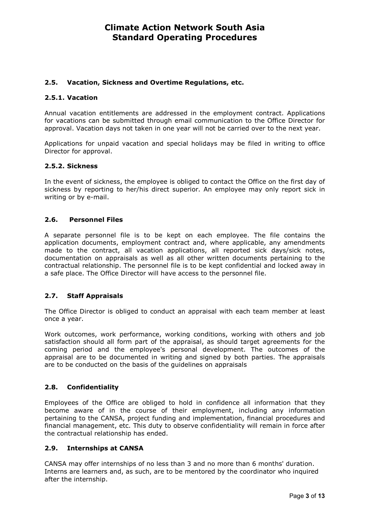## 2.5. Vacation, Sickness and Overtime Regulations, etc.

## 2.5.1. Vacation

Annual vacation entitlements are addressed in the employment contract. Applications for vacations can be submitted through email communication to the Office Director for approval. Vacation days not taken in one year will not be carried over to the next year.

Applications for unpaid vacation and special holidays may be filed in writing to office Director for approval.

## 2.5.2. Sickness

In the event of sickness, the employee is obliged to contact the Office on the first day of sickness by reporting to her/his direct superior. An employee may only report sick in writing or by e-mail.

## 2.6. Personnel Files

A separate personnel file is to be kept on each employee. The file contains the application documents, employment contract and, where applicable, any amendments made to the contract, all vacation applications, all reported sick days/sick notes, documentation on appraisals as well as all other written documents pertaining to the contractual relationship. The personnel file is to be kept confidential and locked away in a safe place. The Office Director will have access to the personnel file.

### 2.7. Staff Appraisals

The Office Director is obliged to conduct an appraisal with each team member at least once a year.

Work outcomes, work performance, working conditions, working with others and job satisfaction should all form part of the appraisal, as should target agreements for the coming period and the employee's personal development. The outcomes of the appraisal are to be documented in writing and signed by both parties. The appraisals are to be conducted on the basis of the guidelines on appraisals

### 2.8. Confidentiality

Employees of the Office are obliged to hold in confidence all information that they become aware of in the course of their employment, including any information pertaining to the CANSA, project funding and implementation, financial procedures and financial management, etc. This duty to observe confidentiality will remain in force after the contractual relationship has ended.

### 2.9. Internships at CANSA

CANSA may offer internships of no less than 3 and no more than 6 months' duration. Interns are learners and, as such, are to be mentored by the coordinator who inquired after the internship.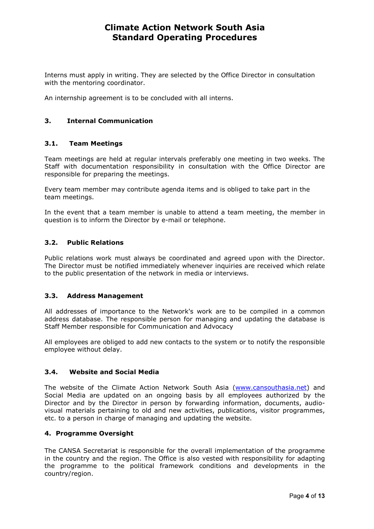Interns must apply in writing. They are selected by the Office Director in consultation with the mentoring coordinator.

An internship agreement is to be concluded with all interns.

## 3. Internal Communication

### 3.1. Team Meetings

Team meetings are held at regular intervals preferably one meeting in two weeks. The Staff with documentation responsibility in consultation with the Office Director are responsible for preparing the meetings.

Every team member may contribute agenda items and is obliged to take part in the team meetings.

In the event that a team member is unable to attend a team meeting, the member in question is to inform the Director by e-mail or telephone.

### 3.2. Public Relations

Public relations work must always be coordinated and agreed upon with the Director. The Director must be notified immediately whenever inquiries are received which relate to the public presentation of the network in media or interviews.

### 3.3. Address Management

All addresses of importance to the Network's work are to be compiled in a common address database. The responsible person for managing and updating the database is Staff Member responsible for Communication and Advocacy

All employees are obliged to add new contacts to the system or to notify the responsible employee without delay.

#### 3.4. Website and Social Media

The website of the Climate Action Network South Asia (www.cansouthasia.net) and Social Media are updated on an ongoing basis by all employees authorized by the Director and by the Director in person by forwarding information, documents, audiovisual materials pertaining to old and new activities, publications, visitor programmes, etc. to a person in charge of managing and updating the website.

#### 4. Programme Oversight

The CANSA Secretariat is responsible for the overall implementation of the programme in the country and the region. The Office is also vested with responsibility for adapting the programme to the political framework conditions and developments in the country/region.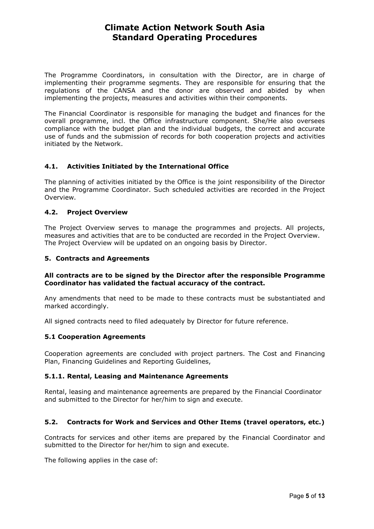The Programme Coordinators, in consultation with the Director, are in charge of implementing their programme segments. They are responsible for ensuring that the regulations of the CANSA and the donor are observed and abided by when implementing the projects, measures and activities within their components.

The Financial Coordinator is responsible for managing the budget and finances for the overall programme, incl. the Office infrastructure component. She/He also oversees compliance with the budget plan and the individual budgets, the correct and accurate use of funds and the submission of records for both cooperation projects and activities initiated by the Network.

## 4.1. Activities Initiated by the International Office

The planning of activities initiated by the Office is the joint responsibility of the Director and the Programme Coordinator. Such scheduled activities are recorded in the Project Overview.

### 4.2. Project Overview

The Project Overview serves to manage the programmes and projects. All projects, measures and activities that are to be conducted are recorded in the Project Overview. The Project Overview will be updated on an ongoing basis by Director.

### 5. Contracts and Agreements

### All contracts are to be signed by the Director after the responsible Programme Coordinator has validated the factual accuracy of the contract.

Any amendments that need to be made to these contracts must be substantiated and marked accordingly.

All signed contracts need to filed adequately by Director for future reference.

### 5.1 Cooperation Agreements

Cooperation agreements are concluded with project partners. The Cost and Financing Plan, Financing Guidelines and Reporting Guidelines,

## 5.1.1. Rental, Leasing and Maintenance Agreements

Rental, leasing and maintenance agreements are prepared by the Financial Coordinator and submitted to the Director for her/him to sign and execute.

### 5.2. Contracts for Work and Services and Other Items (travel operators, etc.)

Contracts for services and other items are prepared by the Financial Coordinator and submitted to the Director for her/him to sign and execute.

The following applies in the case of: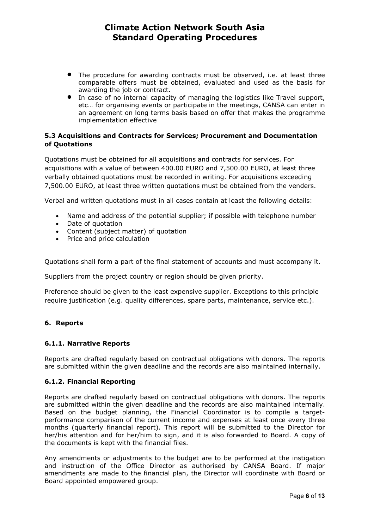- The procedure for awarding contracts must be observed, i.e. at least three comparable offers must be obtained, evaluated and used as the basis for awarding the job or contract.
- In case of no internal capacity of managing the logistics like Travel support, etc… for organising events or participate in the meetings, CANSA can enter in an agreement on long terms basis based on offer that makes the programme implementation effective

## 5.3 Acquisitions and Contracts for Services; Procurement and Documentation of Quotations

Quotations must be obtained for all acquisitions and contracts for services. For acquisitions with a value of between 400.00 EURO and 7,500.00 EURO, at least three verbally obtained quotations must be recorded in writing. For acquisitions exceeding 7,500.00 EURO, at least three written quotations must be obtained from the venders.

Verbal and written quotations must in all cases contain at least the following details:

- Name and address of the potential supplier; if possible with telephone number
- Date of quotation
- Content (subject matter) of quotation
- Price and price calculation

Quotations shall form a part of the final statement of accounts and must accompany it.

Suppliers from the project country or region should be given priority.

Preference should be given to the least expensive supplier. Exceptions to this principle require justification (e.g. quality differences, spare parts, maintenance, service etc.).

## 6. Reports

### 6.1.1. Narrative Reports

Reports are drafted regularly based on contractual obligations with donors. The reports are submitted within the given deadline and the records are also maintained internally.

### 6.1.2. Financial Reporting

Reports are drafted regularly based on contractual obligations with donors. The reports are submitted within the given deadline and the records are also maintained internally. Based on the budget planning, the Financial Coordinator is to compile a targetperformance comparison of the current income and expenses at least once every three months (quarterly financial report). This report will be submitted to the Director for her/his attention and for her/him to sign, and it is also forwarded to Board. A copy of the documents is kept with the financial files.

Any amendments or adjustments to the budget are to be performed at the instigation and instruction of the Office Director as authorised by CANSA Board. If major amendments are made to the financial plan, the Director will coordinate with Board or Board appointed empowered group.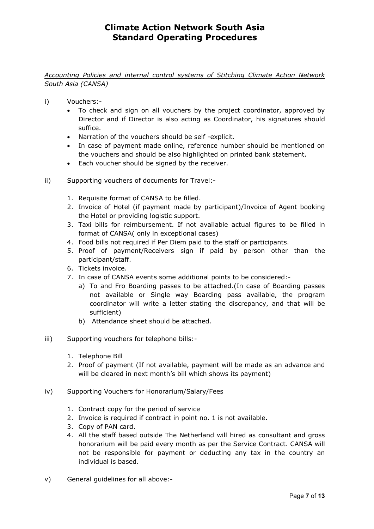## Accounting Policies and internal control systems of Stitching Climate Action Network South Asia (CANSA)

- i) Vouchers:-
	- To check and sign on all vouchers by the project coordinator, approved by Director and if Director is also acting as Coordinator, his signatures should suffice.
	- Narration of the vouchers should be self -explicit.
	- In case of payment made online, reference number should be mentioned on the vouchers and should be also highlighted on printed bank statement.
	- Each voucher should be signed by the receiver.
- ii) Supporting vouchers of documents for Travel:-
	- 1. Requisite format of CANSA to be filled.
	- 2. Invoice of Hotel (if payment made by participant)/Invoice of Agent booking the Hotel or providing logistic support.
	- 3. Taxi bills for reimbursement. If not available actual figures to be filled in format of CANSA( only in exceptional cases)
	- 4. Food bills not required if Per Diem paid to the staff or participants.
	- 5. Proof of payment/Receivers sign if paid by person other than the participant/staff.
	- 6. Tickets invoice.
	- 7. In case of CANSA events some additional points to be considered:
		- a) To and Fro Boarding passes to be attached.(In case of Boarding passes not available or Single way Boarding pass available, the program coordinator will write a letter stating the discrepancy, and that will be sufficient)
		- b) Attendance sheet should be attached.
- iii) Supporting vouchers for telephone bills:-
	- 1. Telephone Bill
	- 2. Proof of payment (If not available, payment will be made as an advance and will be cleared in next month's bill which shows its payment)
- iv) Supporting Vouchers for Honorarium/Salary/Fees
	- 1. Contract copy for the period of service
	- 2. Invoice is required if contract in point no. 1 is not available.
	- 3. Copy of PAN card.
	- 4. All the staff based outside The Netherland will hired as consultant and gross honorarium will be paid every month as per the Service Contract. CANSA will not be responsible for payment or deducting any tax in the country an individual is based.
- v) General guidelines for all above:-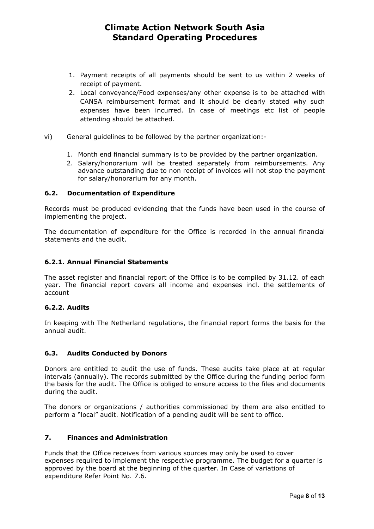- 1. Payment receipts of all payments should be sent to us within 2 weeks of receipt of payment.
- 2. Local conveyance/Food expenses/any other expense is to be attached with CANSA reimbursement format and it should be clearly stated why such expenses have been incurred. In case of meetings etc list of people attending should be attached.
- vi) General guidelines to be followed by the partner organization:-
	- 1. Month end financial summary is to be provided by the partner organization.
	- 2. Salary/honorarium will be treated separately from reimbursements. Any advance outstanding due to non receipt of invoices will not stop the payment for salary/honorarium for any month.

### 6.2. Documentation of Expenditure

Records must be produced evidencing that the funds have been used in the course of implementing the project.

The documentation of expenditure for the Office is recorded in the annual financial statements and the audit.

#### 6.2.1. Annual Financial Statements

The asset register and financial report of the Office is to be compiled by 31.12. of each year. The financial report covers all income and expenses incl. the settlements of account

### 6.2.2. Audits

In keeping with The Netherland regulations, the financial report forms the basis for the annual audit.

### 6.3. Audits Conducted by Donors

Donors are entitled to audit the use of funds. These audits take place at at regular intervals (annually). The records submitted by the Office during the funding period form the basis for the audit. The Office is obliged to ensure access to the files and documents during the audit.

The donors or organizations / authorities commissioned by them are also entitled to perform a "local" audit. Notification of a pending audit will be sent to office.

#### 7. Finances and Administration

Funds that the Office receives from various sources may only be used to cover expenses required to implement the respective programme. The budget for a quarter is approved by the board at the beginning of the quarter. In Case of variations of expenditure Refer Point No. 7.6.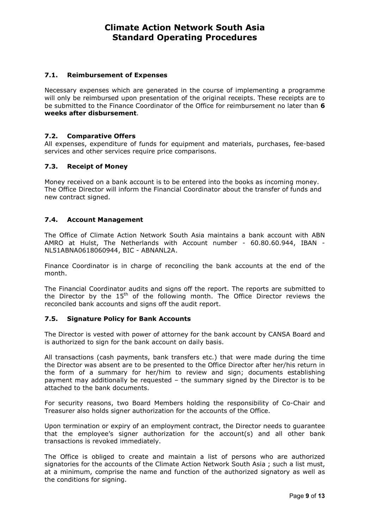## 7.1. Reimbursement of Expenses

Necessary expenses which are generated in the course of implementing a programme will only be reimbursed upon presentation of the original receipts. These receipts are to be submitted to the Finance Coordinator of the Office for reimbursement no later than 6 weeks after disbursement.

## 7.2. Comparative Offers

All expenses, expenditure of funds for equipment and materials, purchases, fee-based services and other services require price comparisons.

## 7.3. Receipt of Money

Money received on a bank account is to be entered into the books as incoming money. The Office Director will inform the Financial Coordinator about the transfer of funds and new contract signed.

## 7.4. Account Management

The Office of Climate Action Network South Asia maintains a bank account with ABN AMRO at Hulst, The Netherlands with Account number - 60.80.60.944, IBAN - NL51ABNA0618060944, BIC - ABNANL2A.

Finance Coordinator is in charge of reconciling the bank accounts at the end of the month.

The Financial Coordinator audits and signs off the report. The reports are submitted to the Director by the  $15<sup>th</sup>$  of the following month. The Office Director reviews the reconciled bank accounts and signs off the audit report.

### 7.5. Signature Policy for Bank Accounts

The Director is vested with power of attorney for the bank account by CANSA Board and is authorized to sign for the bank account on daily basis.

All transactions (cash payments, bank transfers etc.) that were made during the time the Director was absent are to be presented to the Office Director after her/his return in the form of a summary for her/him to review and sign; documents establishing payment may additionally be requested – the summary signed by the Director is to be attached to the bank documents.

For security reasons, two Board Members holding the responsibility of Co-Chair and Treasurer also holds signer authorization for the accounts of the Office.

Upon termination or expiry of an employment contract, the Director needs to guarantee that the employee's signer authorization for the account(s) and all other bank transactions is revoked immediately.

The Office is obliged to create and maintain a list of persons who are authorized signatories for the accounts of the Climate Action Network South Asia ; such a list must, at a minimum, comprise the name and function of the authorized signatory as well as the conditions for signing.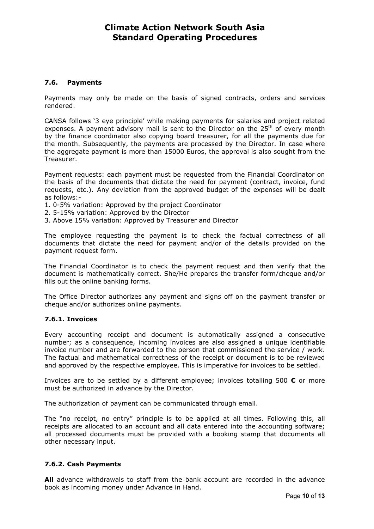### 7.6. Payments

Payments may only be made on the basis of signed contracts, orders and services rendered.

CANSA follows '3 eye principle' while making payments for salaries and project related expenses. A payment advisory mail is sent to the Director on the  $25<sup>th</sup>$  of every month by the finance coordinator also copying board treasurer, for all the payments due for the month. Subsequently, the payments are processed by the Director. In case where the aggregate payment is more than 15000 Euros, the approval is also sought from the Treasurer.

Payment requests: each payment must be requested from the Financial Coordinator on the basis of the documents that dictate the need for payment (contract, invoice, fund requests, etc.). Any deviation from the approved budget of the expenses will be dealt as follows:-

- 1. 0-5% variation: Approved by the project Coordinator
- 2. 5-15% variation: Approved by the Director
- 3. Above 15% variation: Approved by Treasurer and Director

The employee requesting the payment is to check the factual correctness of all documents that dictate the need for payment and/or of the details provided on the payment request form.

The Financial Coordinator is to check the payment request and then verify that the document is mathematically correct. She/He prepares the transfer form/cheque and/or fills out the online banking forms.

The Office Director authorizes any payment and signs off on the payment transfer or cheque and/or authorizes online payments.

### 7.6.1. Invoices

Every accounting receipt and document is automatically assigned a consecutive number; as a consequence, incoming invoices are also assigned a unique identifiable invoice number and are forwarded to the person that commissioned the service / work. The factual and mathematical correctness of the receipt or document is to be reviewed and approved by the respective employee. This is imperative for invoices to be settled.

Invoices are to be settled by a different employee; invoices totalling 500  $\epsilon$  or more must be authorized in advance by the Director.

The authorization of payment can be communicated through email.

The "no receipt, no entry" principle is to be applied at all times. Following this, all receipts are allocated to an account and all data entered into the accounting software; all processed documents must be provided with a booking stamp that documents all other necessary input.

## 7.6.2. Cash Payments

All advance withdrawals to staff from the bank account are recorded in the advance book as incoming money under Advance in Hand.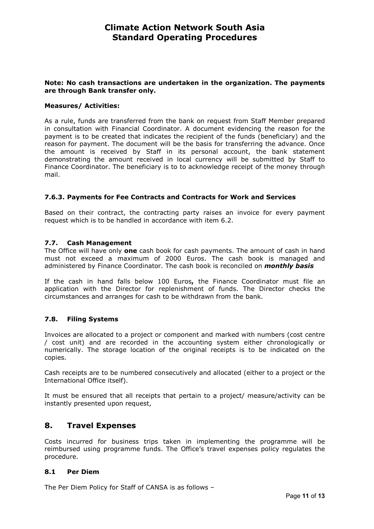## Note: No cash transactions are undertaken in the organization. The payments are through Bank transfer only.

### Measures/ Activities:

As a rule, funds are transferred from the bank on request from Staff Member prepared in consultation with Financial Coordinator. A document evidencing the reason for the payment is to be created that indicates the recipient of the funds (beneficiary) and the reason for payment. The document will be the basis for transferring the advance. Once the amount is received by Staff in its personal account, the bank statement demonstrating the amount received in local currency will be submitted by Staff to Finance Coordinator. The beneficiary is to to acknowledge receipt of the money through mail.

### 7.6.3. Payments for Fee Contracts and Contracts for Work and Services

Based on their contract, the contracting party raises an invoice for every payment request which is to be handled in accordance with item 6.2.

#### 7.7. Cash Management

The Office will have only one cash book for cash payments. The amount of cash in hand must not exceed a maximum of 2000 Euros. The cash book is managed and administered by Finance Coordinator. The cash book is reconciled on *monthly basis* 

If the cash in hand falls below 100 Euros, the Finance Coordinator must file an application with the Director for replenishment of funds. The Director checks the circumstances and arranges for cash to be withdrawn from the bank.

### 7.8. Filing Systems

Invoices are allocated to a project or component and marked with numbers (cost centre / cost unit) and are recorded in the accounting system either chronologically or numerically. The storage location of the original receipts is to be indicated on the copies.

Cash receipts are to be numbered consecutively and allocated (either to a project or the International Office itself).

It must be ensured that all receipts that pertain to a project/ measure/activity can be instantly presented upon request,

## 8. Travel Expenses

Costs incurred for business trips taken in implementing the programme will be reimbursed using programme funds. The Office's travel expenses policy regulates the procedure.

### 8.1 Per Diem

The Per Diem Policy for Staff of CANSA is as follows –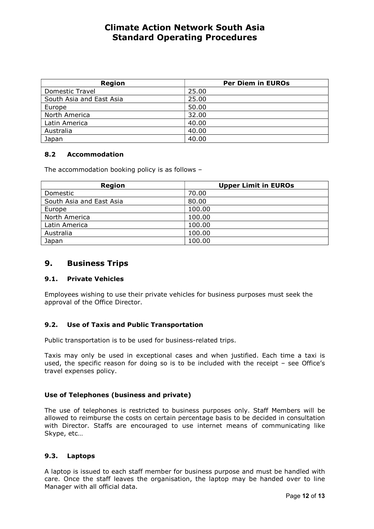| <b>Region</b>            | <b>Per Diem in EUROs</b> |
|--------------------------|--------------------------|
| <b>Domestic Travel</b>   | 25.00                    |
| South Asia and East Asia | 25.00                    |
| Europe                   | 50.00                    |
| North America            | 32.00                    |
| Latin America            | 40.00                    |
| Australia                | 40.00                    |
| Japan                    | 40.00                    |

## 8.2 Accommodation

The accommodation booking policy is as follows –

| <b>Region</b>            | <b>Upper Limit in EUROs</b> |
|--------------------------|-----------------------------|
| Domestic                 | 70.00                       |
| South Asia and East Asia | 80.00                       |
| Europe                   | 100.00                      |
| North America            | 100.00                      |
| Latin America            | 100.00                      |
| Australia                | 100.00                      |
| Japan                    | 100.00                      |

## 9. Business Trips

### 9.1. Private Vehicles

Employees wishing to use their private vehicles for business purposes must seek the approval of the Office Director.

## 9.2. Use of Taxis and Public Transportation

Public transportation is to be used for business-related trips.

Taxis may only be used in exceptional cases and when justified. Each time a taxi is used, the specific reason for doing so is to be included with the receipt – see Office's travel expenses policy.

## Use of Telephones (business and private)

The use of telephones is restricted to business purposes only. Staff Members will be allowed to reimburse the costs on certain percentage basis to be decided in consultation with Director. Staffs are encouraged to use internet means of communicating like Skype, etc…

### 9.3. Laptops

A laptop is issued to each staff member for business purpose and must be handled with care. Once the staff leaves the organisation, the laptop may be handed over to line Manager with all official data.